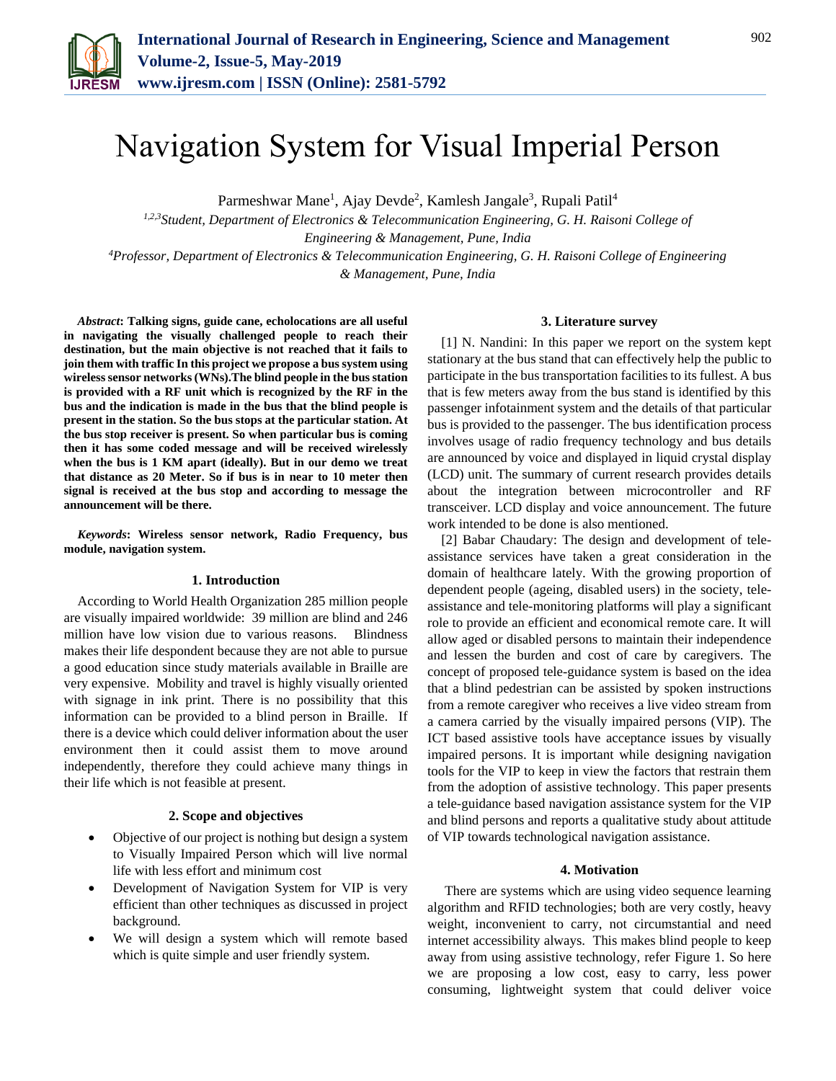

# Navigation System for Visual Imperial Person

Parmeshwar Mane<sup>1</sup>, Ajay Devde<sup>2</sup>, Kamlesh Jangale<sup>3</sup>, Rupali Patil<sup>4</sup>

*1,2,3Student, Department of Electronics & Telecommunication Engineering, G. H. Raisoni College of Engineering & Management, Pune, India <sup>4</sup>Professor, Department of Electronics & Telecommunication Engineering, G. H. Raisoni College of Engineering & Management, Pune, India*

*Abstract***: Talking signs, guide cane, echolocations are all useful in navigating the visually challenged people to reach their destination, but the main objective is not reached that it fails to join them with traffic In this project we propose a bus system using wireless sensor networks (WNs).The blind people in the bus station is provided with a RF unit which is recognized by the RF in the bus and the indication is made in the bus that the blind people is present in the station. So the bus stops at the particular station. At the bus stop receiver is present. So when particular bus is coming then it has some coded message and will be received wirelessly when the bus is 1 KM apart (ideally). But in our demo we treat that distance as 20 Meter. So if bus is in near to 10 meter then signal is received at the bus stop and according to message the announcement will be there.**

*Keywords***: Wireless sensor network, Radio Frequency, bus module, navigation system.**

#### **1. Introduction**

According to World Health Organization 285 million people are visually impaired worldwide: 39 million are blind and 246 million have low vision due to various reasons. Blindness makes their life despondent because they are not able to pursue a good education since study materials available in Braille are very expensive. Mobility and travel is highly visually oriented with signage in ink print. There is no possibility that this information can be provided to a blind person in Braille. If there is a device which could deliver information about the user environment then it could assist them to move around independently, therefore they could achieve many things in their life which is not feasible at present.

#### **2. Scope and objectives**

- Objective of our project is nothing but design a system to Visually Impaired Person which will live normal life with less effort and minimum cost
- Development of Navigation System for VIP is very efficient than other techniques as discussed in project background.
- We will design a system which will remote based which is quite simple and user friendly system.

#### **3. Literature survey**

[1] N. Nandini: In this paper we report on the system kept stationary at the bus stand that can effectively help the public to participate in the bus transportation facilities to its fullest. A bus that is few meters away from the bus stand is identified by this passenger infotainment system and the details of that particular bus is provided to the passenger. The bus identification process involves usage of radio frequency technology and bus details are announced by voice and displayed in liquid crystal display (LCD) unit. The summary of current research provides details about the integration between microcontroller and RF transceiver. LCD display and voice announcement. The future work intended to be done is also mentioned.

[2] Babar Chaudary: The design and development of teleassistance services have taken a great consideration in the domain of healthcare lately. With the growing proportion of dependent people (ageing, disabled users) in the society, teleassistance and tele-monitoring platforms will play a significant role to provide an efficient and economical remote care. It will allow aged or disabled persons to maintain their independence and lessen the burden and cost of care by caregivers. The concept of proposed tele-guidance system is based on the idea that a blind pedestrian can be assisted by spoken instructions from a remote caregiver who receives a live video stream from a camera carried by the visually impaired persons (VIP). The ICT based assistive tools have acceptance issues by visually impaired persons. It is important while designing navigation tools for the VIP to keep in view the factors that restrain them from the adoption of assistive technology. This paper presents a tele-guidance based navigation assistance system for the VIP and blind persons and reports a qualitative study about attitude of VIP towards technological navigation assistance.

#### **4. Motivation**

There are systems which are using video sequence learning algorithm and RFID technologies; both are very costly, heavy weight, inconvenient to carry, not circumstantial and need internet accessibility always. This makes blind people to keep away from using assistive technology, refer Figure 1. So here we are proposing a low cost, easy to carry, less power consuming, lightweight system that could deliver voice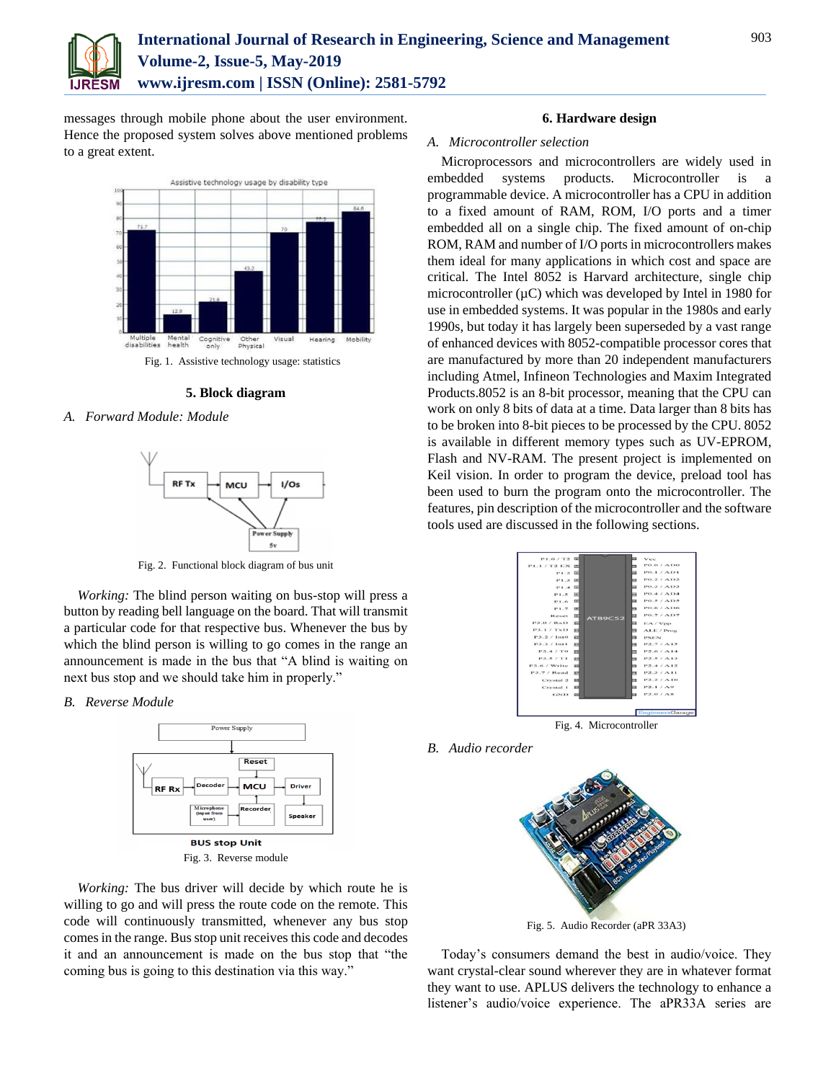

messages through mobile phone about the user environment. Hence the proposed system solves above mentioned problems to a great extent.



**5. Block diagram**

## *A. Forward Module: Module*



Fig. 2. Functional block diagram of bus unit

*Working:* The blind person waiting on bus-stop will press a button by reading bell language on the board. That will transmit a particular code for that respective bus. Whenever the bus by which the blind person is willing to go comes in the range an announcement is made in the bus that "A blind is waiting on next bus stop and we should take him in properly."

#### *B. Reverse Module*



*Working:* The bus driver will decide by which route he is willing to go and will press the route code on the remote. This code will continuously transmitted, whenever any bus stop comes in the range. Bus stop unit receives this code and decodes it and an announcement is made on the bus stop that "the coming bus is going to this destination via this way."

### **6. Hardware design**

#### *A. Microcontroller selection*

Microprocessors and microcontrollers are widely used in embedded systems products. Microcontroller is a programmable device. A microcontroller has a CPU in addition to a fixed amount of RAM, ROM, I/O ports and a timer embedded all on a single chip. The fixed amount of on-chip ROM, RAM and number of I/O ports in microcontrollers makes them ideal for many applications in which cost and space are critical. The Intel 8052 is Harvard architecture, single chip microcontroller  $(\mu C)$  which was developed by Intel in 1980 for use in embedded systems. It was popular in the 1980s and early 1990s, but today it has largely been superseded by a vast range of enhanced devices with 8052-compatible processor cores that are manufactured by more than 20 independent manufacturers including Atmel, Infineon Technologies and Maxim Integrated Products.8052 is an 8-bit processor, meaning that the CPU can work on only 8 bits of data at a time. Data larger than 8 bits has to be broken into 8-bit pieces to be processed by the CPU. 8052 is available in different memory types such as UV-EPROM, Flash and NV-RAM. The present project is implemented on Keil vision. In order to program the device, preload tool has been used to burn the program onto the microcontroller. The features, pin description of the microcontroller and the software tools used are discussed in the following sections.

| P1.0/T2                 |                 |                | ka  | <b>Mee</b>        |
|-------------------------|-----------------|----------------|-----|-------------------|
| P1.1/T2 EX E            |                 |                | ь   | PO.O/ADO          |
| $P1.2 \quad \Box$       |                 |                | m   | PQ.1 / AD1        |
| P1.3 国                  |                 |                | kи  | PQ.2 / AD2        |
| $P1.4$ $\overline{5}$   |                 |                | bol | <b>PO.3/AD3</b>   |
| P1.5                    | 画               |                | lт  | PQ.4 / ADA        |
| P1.6                    | $\overline{z}$  |                | ы   | PQ.5 / ADS        |
| P1.7                    | <b>DET</b>      | <b>AT89C52</b> | bэ  | <b>PO.6 / AD6</b> |
| Reset                   | $\overline{12}$ |                | ø   | PQ.7/AD7          |
| P3.0 / R <sub>N</sub> D | <b>IKK</b>      |                | в   | EA / Vpp          |
| P3.1 / TxD              | <b>But</b>      |                | B   | ALE / Prog        |
| P3.2 / In10             | <b>Kz</b>       |                | lэ  | <b>PSEN</b>       |
| P3.3 / Int1             | <b>STR</b>      |                | Þн  | P2.7 / A15        |
| P3.4/TO                 | 医细              |                | eЙ  | P2.6 / A14        |
| P3.5/T1                 | <b>DOM</b>      |                | ba  | P2.5 / A13        |
| P3.6 / Write            | 1.6             |                | lж  | P2.4 / A12        |
| P3.7 / Road             | <b>BUY</b>      |                | lт  | P2.3 / A11        |
| Crystal 2               | 3.4             |                | Þа  | P2.2 / A10        |
| Crystal 1               | <b>ICM</b>      |                | kя  | P2.1 / A9         |
| GND                     | Red             |                |     | P2.0/AB           |
|                         |                 |                |     |                   |
|                         |                 |                |     | EngineersGarage   |
|                         |                 |                |     |                   |

Fig. 4. Microcontroller

*B. Audio recorder*



Fig. 5. Audio Recorder (aPR 33A3)

Today's consumers demand the best in audio/voice. They want crystal-clear sound wherever they are in whatever format they want to use. APLUS delivers the technology to enhance a listener's audio/voice experience. The aPR33A series are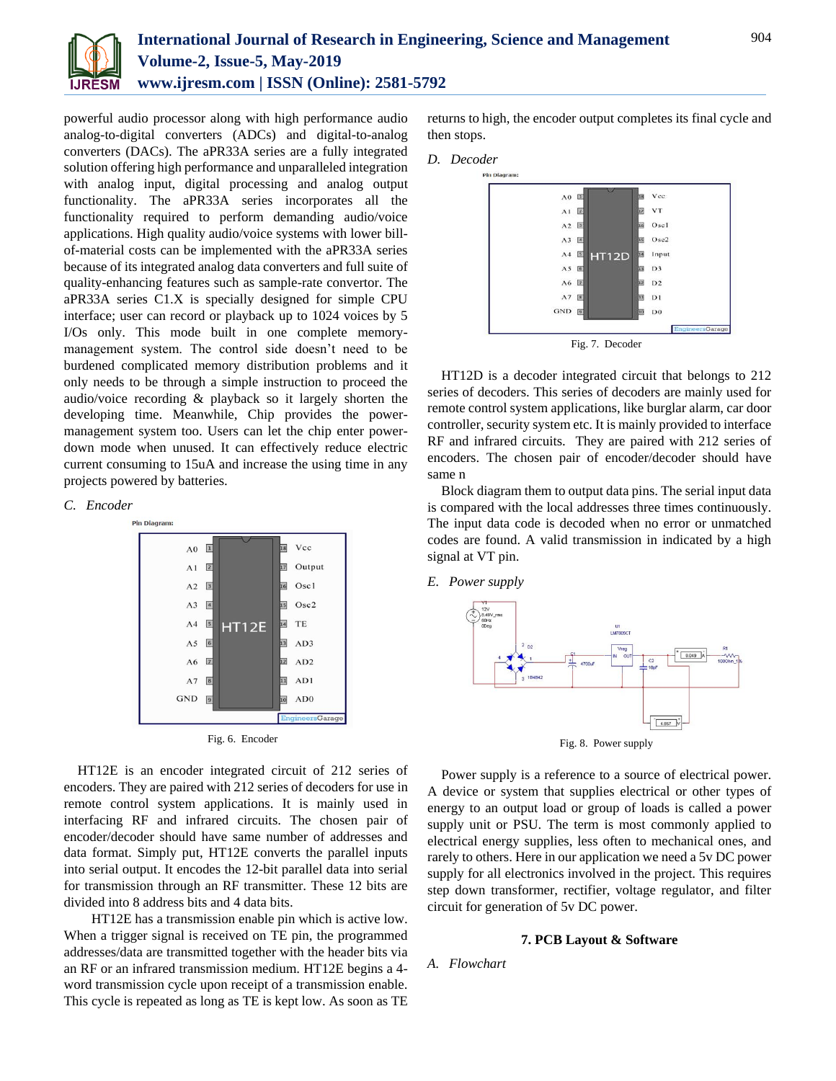

powerful audio processor along with high performance audio analog-to-digital converters (ADCs) and digital-to-analog converters (DACs). The aPR33A series are a fully integrated solution offering high performance and unparalleled integration with analog input, digital processing and analog output functionality. The aPR33A series incorporates all the functionality required to perform demanding audio/voice applications. High quality audio/voice systems with lower billof-material costs can be implemented with the aPR33A series because of its integrated analog data converters and full suite of quality-enhancing features such as sample-rate convertor. The aPR33A series C1.X is specially designed for simple CPU interface; user can record or playback up to 1024 voices by 5 I/Os only. This mode built in one complete memorymanagement system. The control side doesn't need to be burdened complicated memory distribution problems and it only needs to be through a simple instruction to proceed the audio/voice recording & playback so it largely shorten the developing time. Meanwhile, Chip provides the powermanagement system too. Users can let the chip enter powerdown mode when unused. It can effectively reduce electric current consuming to 15uA and increase the using time in any projects powered by batteries.

#### *C. Encoder*

| A <sub>0</sub> | $\mathbf{1}$   | 18<br>Vcc                |
|----------------|----------------|--------------------------|
| A1             | $\overline{2}$ | Output<br>17             |
| A <sub>2</sub> | $\sqrt{3}$     | Oscl<br>16               |
| A <sub>3</sub> | $\boxed{4}$    | 15<br>Osc2               |
| $A4$ 5         | HT12E          | 14 TE                    |
| A5             | 6              | 13<br>AD3                |
| A6             | $\overline{7}$ | $12 \overline{)}$<br>AD2 |
| A7             | $\boxed{8}$    | 11<br>AD1                |
| <b>GND</b>     | $\boxed{9}$    | AD <sub>0</sub><br>10    |
|                |                | EngineersGarage          |

Fig. 6. Encoder

HT12E is an encoder integrated circuit of 212 series of encoders. They are paired with 212 series of decoders for use in remote control system applications. It is mainly used in interfacing RF and infrared circuits. The chosen pair of encoder/decoder should have same number of addresses and data format. Simply put, HT12E converts the parallel inputs into serial output. It encodes the 12-bit parallel data into serial for transmission through an RF transmitter. These 12 bits are divided into 8 address bits and 4 data bits.

HT12E has a transmission enable pin which is active low. When a trigger signal is received on TE pin, the programmed addresses/data are transmitted together with the header bits via an RF or an infrared transmission medium. HT12E begins a 4 word transmission cycle upon receipt of a transmission enable. This cycle is repeated as long as TE is kept low. As soon as TE returns to high, the encoder output completes its final cycle and then stops.





Fig. 7. Decoder

HT12D is a decoder integrated circuit that belongs to 212 series of decoders. This series of decoders are mainly used for remote control system applications, like burglar alarm, car door controller, security system etc. It is mainly provided to interface RF and infrared circuits. They are paired with 212 series of encoders. The chosen pair of encoder/decoder should have same n

Block diagram them to output data pins. The serial input data is compared with the local addresses three times continuously. The input data code is decoded when no error or unmatched codes are found. A valid transmission in indicated by a high signal at VT pin.

#### *E. Power supply*



Fig. 8. Power supply

Power supply is a reference to a source of electrical power. A device or system that supplies electrical or other types of energy to an output load or group of loads is called a power supply unit or PSU. The term is most commonly applied to electrical energy supplies, less often to mechanical ones, and rarely to others. Here in our application we need a 5v DC power supply for all electronics involved in the project. This requires step down transformer, rectifier, voltage regulator, and filter circuit for generation of 5v DC power.

#### **7. PCB Layout & Software**

#### *A. Flowchart*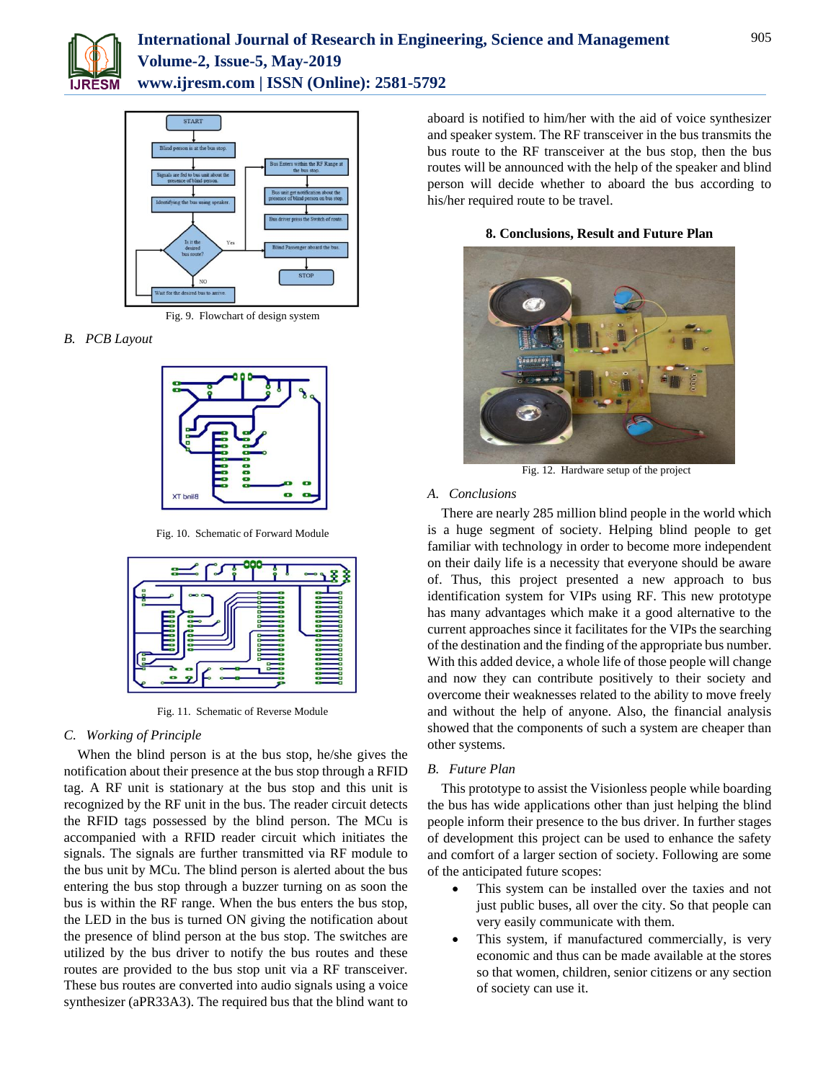



Fig. 9. Flowchart of design system

## *B. PCB Layout*



Fig. 10. Schematic of Forward Module



Fig. 11. Schematic of Reverse Module

## *C. Working of Principle*

When the blind person is at the bus stop, he/she gives the notification about their presence at the bus stop through a RFID tag. A RF unit is stationary at the bus stop and this unit is recognized by the RF unit in the bus. The reader circuit detects the RFID tags possessed by the blind person. The MCu is accompanied with a RFID reader circuit which initiates the signals. The signals are further transmitted via RF module to the bus unit by MCu. The blind person is alerted about the bus entering the bus stop through a buzzer turning on as soon the bus is within the RF range. When the bus enters the bus stop, the LED in the bus is turned ON giving the notification about the presence of blind person at the bus stop. The switches are utilized by the bus driver to notify the bus routes and these routes are provided to the bus stop unit via a RF transceiver. These bus routes are converted into audio signals using a voice synthesizer (aPR33A3). The required bus that the blind want to

aboard is notified to him/her with the aid of voice synthesizer and speaker system. The RF transceiver in the bus transmits the bus route to the RF transceiver at the bus stop, then the bus routes will be announced with the help of the speaker and blind person will decide whether to aboard the bus according to his/her required route to be travel.

**8. Conclusions, Result and Future Plan**



Fig. 12. Hardware setup of the project

## *A. Conclusions*

There are nearly 285 million blind people in the world which is a huge segment of society. Helping blind people to get familiar with technology in order to become more independent on their daily life is a necessity that everyone should be aware of. Thus, this project presented a new approach to bus identification system for VIPs using RF. This new prototype has many advantages which make it a good alternative to the current approaches since it facilitates for the VIPs the searching of the destination and the finding of the appropriate bus number. With this added device, a whole life of those people will change and now they can contribute positively to their society and overcome their weaknesses related to the ability to move freely and without the help of anyone. Also, the financial analysis showed that the components of such a system are cheaper than other systems.

## *B. Future Plan*

This prototype to assist the Visionless people while boarding the bus has wide applications other than just helping the blind people inform their presence to the bus driver. In further stages of development this project can be used to enhance the safety and comfort of a larger section of society. Following are some of the anticipated future scopes:

- This system can be installed over the taxies and not just public buses, all over the city. So that people can very easily communicate with them.
- This system, if manufactured commercially, is very economic and thus can be made available at the stores so that women, children, senior citizens or any section of society can use it.